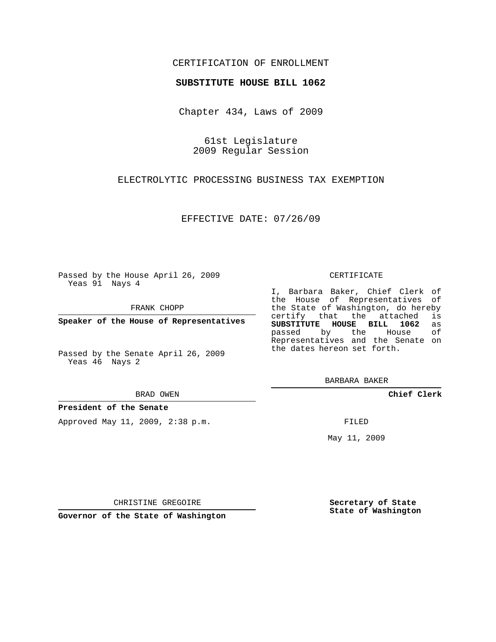# CERTIFICATION OF ENROLLMENT

## **SUBSTITUTE HOUSE BILL 1062**

Chapter 434, Laws of 2009

61st Legislature 2009 Regular Session

# ELECTROLYTIC PROCESSING BUSINESS TAX EXEMPTION

EFFECTIVE DATE: 07/26/09

Passed by the House April 26, 2009 Yeas 91 Nays 4

FRANK CHOPP

**Speaker of the House of Representatives**

Passed by the Senate April 26, 2009 Yeas 46 Nays 2

#### BRAD OWEN

## **President of the Senate**

Approved May 11, 2009, 2:38 p.m.

#### CERTIFICATE

I, Barbara Baker, Chief Clerk of the House of Representatives of the State of Washington, do hereby<br>certify that the attached is certify that the attached **SUBSTITUTE HOUSE BILL 1062** as passed by the Representatives and the Senate on the dates hereon set forth.

BARBARA BAKER

**Chief Clerk**

FILED

May 11, 2009

**Secretary of State State of Washington**

CHRISTINE GREGOIRE

**Governor of the State of Washington**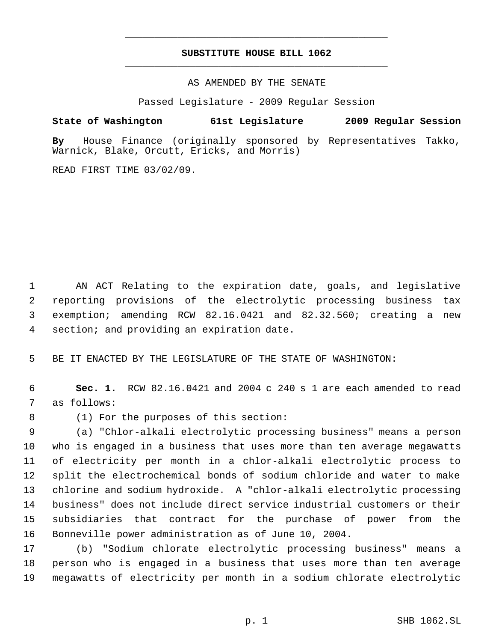# **SUBSTITUTE HOUSE BILL 1062** \_\_\_\_\_\_\_\_\_\_\_\_\_\_\_\_\_\_\_\_\_\_\_\_\_\_\_\_\_\_\_\_\_\_\_\_\_\_\_\_\_\_\_\_\_

\_\_\_\_\_\_\_\_\_\_\_\_\_\_\_\_\_\_\_\_\_\_\_\_\_\_\_\_\_\_\_\_\_\_\_\_\_\_\_\_\_\_\_\_\_

AS AMENDED BY THE SENATE

Passed Legislature - 2009 Regular Session

**State of Washington 61st Legislature 2009 Regular Session**

**By** House Finance (originally sponsored by Representatives Takko, Warnick, Blake, Orcutt, Ericks, and Morris)

READ FIRST TIME 03/02/09.

 AN ACT Relating to the expiration date, goals, and legislative reporting provisions of the electrolytic processing business tax exemption; amending RCW 82.16.0421 and 82.32.560; creating a new section; and providing an expiration date.

BE IT ENACTED BY THE LEGISLATURE OF THE STATE OF WASHINGTON:

 **Sec. 1.** RCW 82.16.0421 and 2004 c 240 s 1 are each amended to read as follows:

(1) For the purposes of this section:

 (a) "Chlor-alkali electrolytic processing business" means a person who is engaged in a business that uses more than ten average megawatts of electricity per month in a chlor-alkali electrolytic process to split the electrochemical bonds of sodium chloride and water to make chlorine and sodium hydroxide. A "chlor-alkali electrolytic processing business" does not include direct service industrial customers or their subsidiaries that contract for the purchase of power from the Bonneville power administration as of June 10, 2004.

 (b) "Sodium chlorate electrolytic processing business" means a person who is engaged in a business that uses more than ten average megawatts of electricity per month in a sodium chlorate electrolytic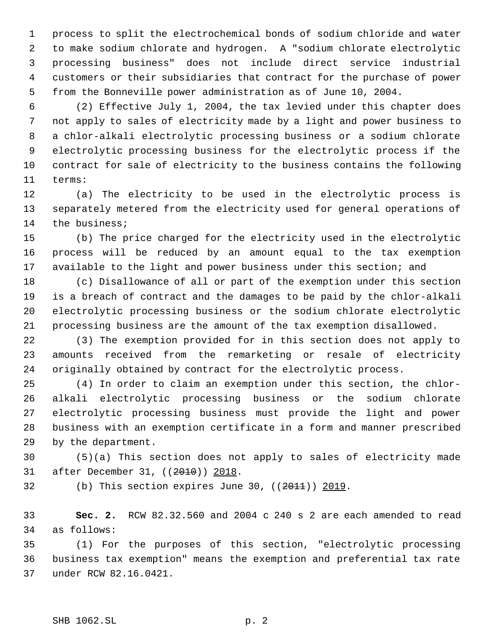process to split the electrochemical bonds of sodium chloride and water to make sodium chlorate and hydrogen. A "sodium chlorate electrolytic processing business" does not include direct service industrial customers or their subsidiaries that contract for the purchase of power from the Bonneville power administration as of June 10, 2004.

 (2) Effective July 1, 2004, the tax levied under this chapter does not apply to sales of electricity made by a light and power business to a chlor-alkali electrolytic processing business or a sodium chlorate electrolytic processing business for the electrolytic process if the contract for sale of electricity to the business contains the following terms:

 (a) The electricity to be used in the electrolytic process is separately metered from the electricity used for general operations of the business;

 (b) The price charged for the electricity used in the electrolytic process will be reduced by an amount equal to the tax exemption 17 available to the light and power business under this section; and

 (c) Disallowance of all or part of the exemption under this section is a breach of contract and the damages to be paid by the chlor-alkali electrolytic processing business or the sodium chlorate electrolytic processing business are the amount of the tax exemption disallowed.

 (3) The exemption provided for in this section does not apply to amounts received from the remarketing or resale of electricity originally obtained by contract for the electrolytic process.

 (4) In order to claim an exemption under this section, the chlor- alkali electrolytic processing business or the sodium chlorate electrolytic processing business must provide the light and power business with an exemption certificate in a form and manner prescribed by the department.

 (5)(a) This section does not apply to sales of electricity made after December 31, ((2010)) 2018.

32 (b) This section expires June 30,  $((2011))$  2019.

 **Sec. 2.** RCW 82.32.560 and 2004 c 240 s 2 are each amended to read as follows:

 (1) For the purposes of this section, "electrolytic processing business tax exemption" means the exemption and preferential tax rate under RCW 82.16.0421.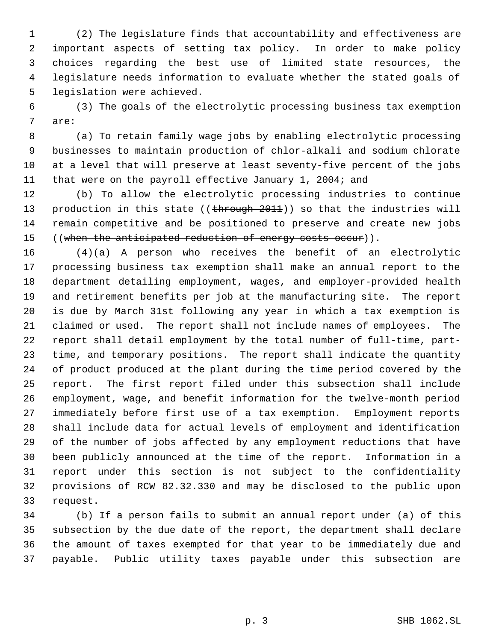(2) The legislature finds that accountability and effectiveness are important aspects of setting tax policy. In order to make policy choices regarding the best use of limited state resources, the legislature needs information to evaluate whether the stated goals of legislation were achieved.

 (3) The goals of the electrolytic processing business tax exemption are:

 (a) To retain family wage jobs by enabling electrolytic processing businesses to maintain production of chlor-alkali and sodium chlorate at a level that will preserve at least seventy-five percent of the jobs that were on the payroll effective January 1, 2004; and

 (b) To allow the electrolytic processing industries to continue 13 production in this state ((through 2011)) so that the industries will remain competitive and be positioned to preserve and create new jobs 15 ((when the anticipated reduction of energy costs occur)).

 (4)(a) A person who receives the benefit of an electrolytic processing business tax exemption shall make an annual report to the department detailing employment, wages, and employer-provided health and retirement benefits per job at the manufacturing site. The report is due by March 31st following any year in which a tax exemption is claimed or used. The report shall not include names of employees. The report shall detail employment by the total number of full-time, part- time, and temporary positions. The report shall indicate the quantity of product produced at the plant during the time period covered by the report. The first report filed under this subsection shall include employment, wage, and benefit information for the twelve-month period immediately before first use of a tax exemption. Employment reports shall include data for actual levels of employment and identification of the number of jobs affected by any employment reductions that have been publicly announced at the time of the report. Information in a report under this section is not subject to the confidentiality provisions of RCW 82.32.330 and may be disclosed to the public upon request.

 (b) If a person fails to submit an annual report under (a) of this subsection by the due date of the report, the department shall declare the amount of taxes exempted for that year to be immediately due and payable. Public utility taxes payable under this subsection are